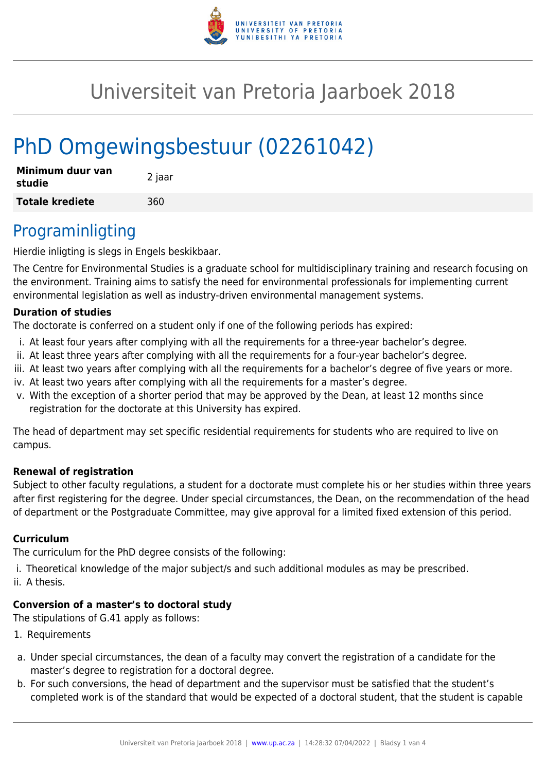

# Universiteit van Pretoria Jaarboek 2018

# PhD Omgewingsbestuur (02261042)

| Minimum duur van<br>studie | 2 jaar |
|----------------------------|--------|
| <b>Totale krediete</b>     | 360    |

## Programinligting

Hierdie inligting is slegs in Engels beskikbaar.

The Centre for Environmental Studies is a graduate school for multidisciplinary training and research focusing on the environment. Training aims to satisfy the need for environmental professionals for implementing current environmental legislation as well as industry-driven environmental management systems.

#### **Duration of studies**

The doctorate is conferred on a student only if one of the following periods has expired:

- i. At least four years after complying with all the requirements for a three-year bachelor's degree.
- ii. At least three years after complying with all the requirements for a four-year bachelor's degree.
- iii. At least two years after complying with all the requirements for a bachelor's degree of five years or more.
- iv. At least two years after complying with all the requirements for a master's degree.
- v. With the exception of a shorter period that may be approved by the Dean, at least 12 months since registration for the doctorate at this University has expired.

The head of department may set specific residential requirements for students who are required to live on campus.

#### **Renewal of registration**

Subject to other faculty regulations, a student for a doctorate must complete his or her studies within three years after first registering for the degree. Under special circumstances, the Dean, on the recommendation of the head of department or the Postgraduate Committee, may give approval for a limited fixed extension of this period.

#### **Curriculum**

The curriculum for the PhD degree consists of the following:

i. Theoretical knowledge of the major subject/s and such additional modules as may be prescribed.

ii. A thesis.

### **Conversion of a master's to doctoral study**

The stipulations of G.41 apply as follows:

- 1. Requirements
- a. Under special circumstances, the dean of a faculty may convert the registration of a candidate for the master's degree to registration for a doctoral degree.
- b. For such conversions, the head of department and the supervisor must be satisfied that the student's completed work is of the standard that would be expected of a doctoral student, that the student is capable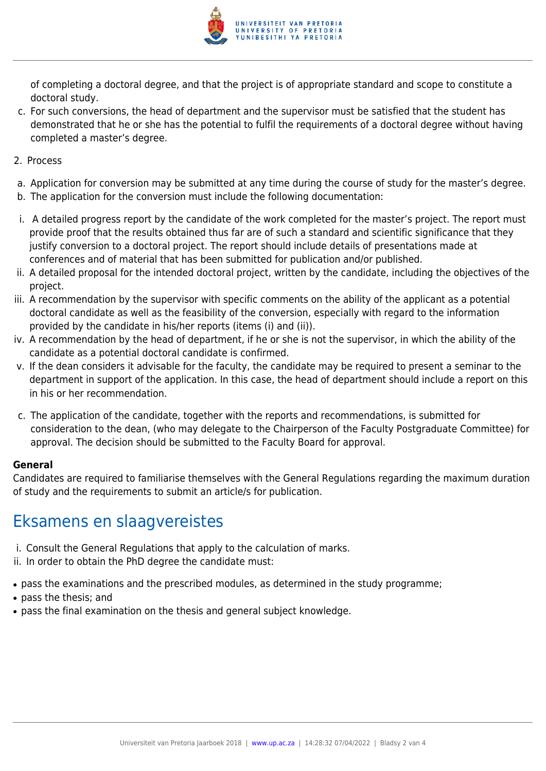

of completing a doctoral degree, and that the project is of appropriate standard and scope to constitute a doctoral study.

- c. For such conversions, the head of department and the supervisor must be satisfied that the student has demonstrated that he or she has the potential to fulfil the requirements of a doctoral degree without having completed a master's degree.
- 2. Process
- a. Application for conversion may be submitted at any time during the course of study for the master's degree.
- b. The application for the conversion must include the following documentation:
- i. A detailed progress report by the candidate of the work completed for the master's project. The report must provide proof that the results obtained thus far are of such a standard and scientific significance that they justify conversion to a doctoral project. The report should include details of presentations made at conferences and of material that has been submitted for publication and/or published.
- ii. A detailed proposal for the intended doctoral project, written by the candidate, including the objectives of the project.
- iii. A recommendation by the supervisor with specific comments on the ability of the applicant as a potential doctoral candidate as well as the feasibility of the conversion, especially with regard to the information provided by the candidate in his/her reports (items (i) and (ii)).
- iv. A recommendation by the head of department, if he or she is not the supervisor, in which the ability of the candidate as a potential doctoral candidate is confirmed.
- v. If the dean considers it advisable for the faculty, the candidate may be required to present a seminar to the department in support of the application. In this case, the head of department should include a report on this in his or her recommendation.
- c. The application of the candidate, together with the reports and recommendations, is submitted for consideration to the dean, (who may delegate to the Chairperson of the Faculty Postgraduate Committee) for approval. The decision should be submitted to the Faculty Board for approval.

#### **General**

Candidates are required to familiarise themselves with the General Regulations regarding the maximum duration of study and the requirements to submit an article/s for publication.

## Eksamens en slaagvereistes

- i. Consult the General Regulations that apply to the calculation of marks.
- ii. In order to obtain the PhD degree the candidate must:
- pass the examinations and the prescribed modules, as determined in the study programme;
- pass the thesis; and
- pass the final examination on the thesis and general subject knowledge.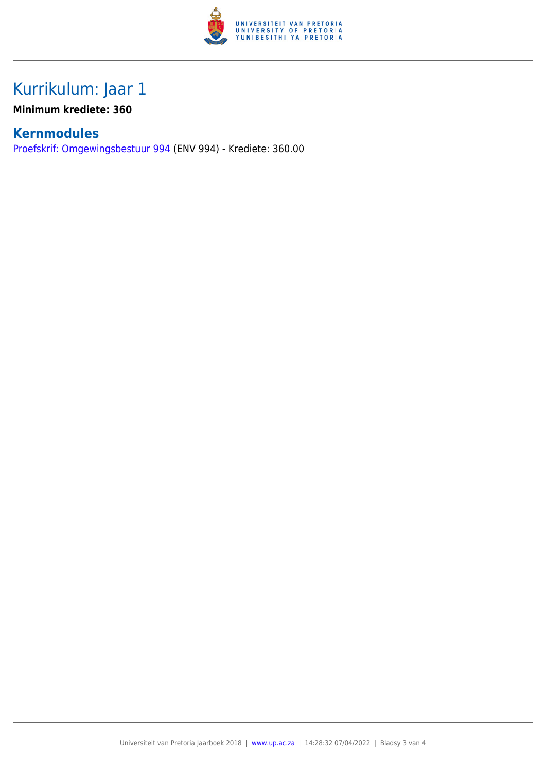

# Kurrikulum: Jaar 1

### **Minimum krediete: 360**

### **Kernmodules**

[Proefskrif: Omgewingsbestuur 994](https://www.up.ac.za/faculty-of-education/yearbooks/2018/modules/view/ENV 994/lg/af) (ENV 994) - Krediete: 360.00